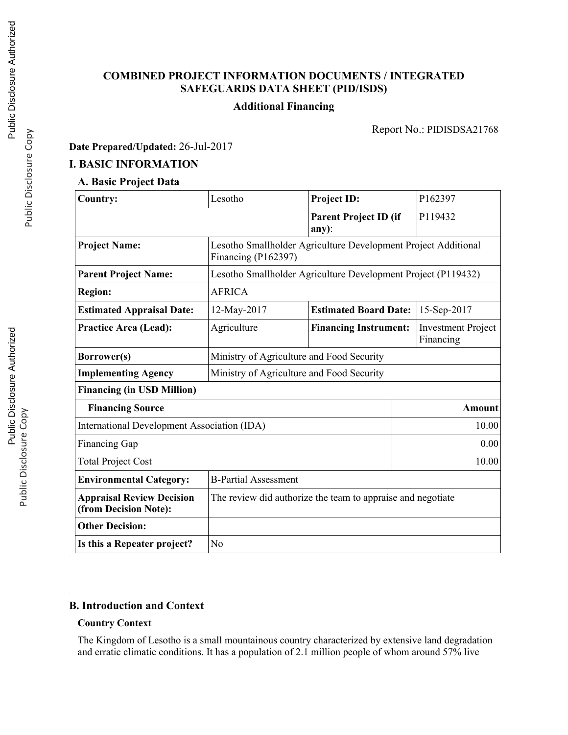## **COMBINED PROJECT INFORMATION DOCUMENTS / INTEGRATED SAFEGUARDS DATA SHEET (PID/ISDS)**

## **Additional Financing**

Report No.: PIDISDSA21768

**Date Prepared/Updated:** 26-Jul-2017

### **I. BASIC INFORMATION**

# **A. Basic Project Data**

| <b>Country:</b>                                           | Lesotho                                                                               | <b>Project ID:</b>                                            | P162397                                |  |  |
|-----------------------------------------------------------|---------------------------------------------------------------------------------------|---------------------------------------------------------------|----------------------------------------|--|--|
|                                                           |                                                                                       | <b>Parent Project ID (if</b><br>$any)$ :                      | P119432                                |  |  |
| <b>Project Name:</b>                                      | Lesotho Smallholder Agriculture Development Project Additional<br>Financing (P162397) |                                                               |                                        |  |  |
| <b>Parent Project Name:</b>                               |                                                                                       | Lesotho Smallholder Agriculture Development Project (P119432) |                                        |  |  |
| <b>Region:</b>                                            | <b>AFRICA</b>                                                                         |                                                               |                                        |  |  |
| <b>Estimated Appraisal Date:</b>                          | 12-May-2017                                                                           | <b>Estimated Board Date:</b>                                  | 15-Sep-2017                            |  |  |
| <b>Practice Area (Lead):</b>                              | Agriculture                                                                           | <b>Financing Instrument:</b>                                  | <b>Investment Project</b><br>Financing |  |  |
| Borrower(s)                                               | Ministry of Agriculture and Food Security                                             |                                                               |                                        |  |  |
| <b>Implementing Agency</b>                                | Ministry of Agriculture and Food Security                                             |                                                               |                                        |  |  |
| <b>Financing (in USD Million)</b>                         |                                                                                       |                                                               |                                        |  |  |
| <b>Financing Source</b>                                   | Amount                                                                                |                                                               |                                        |  |  |
| International Development Association (IDA)               | 10.00                                                                                 |                                                               |                                        |  |  |
| <b>Financing Gap</b>                                      | 0.00                                                                                  |                                                               |                                        |  |  |
| <b>Total Project Cost</b>                                 | 10.00                                                                                 |                                                               |                                        |  |  |
| <b>Environmental Category:</b>                            | <b>B-Partial Assessment</b>                                                           |                                                               |                                        |  |  |
| <b>Appraisal Review Decision</b><br>(from Decision Note): | The review did authorize the team to appraise and negotiate                           |                                                               |                                        |  |  |
| <b>Other Decision:</b>                                    |                                                                                       |                                                               |                                        |  |  |
| Is this a Repeater project?                               | No                                                                                    |                                                               |                                        |  |  |

### **B. Introduction and Context**

#### **Country Context**

The Kingdom of Lesotho is a small mountainous country characterized by extensive land degradation and erratic climatic conditions. It has a population of 2.1 million people of whom around 57% live

Public Disclosure Copy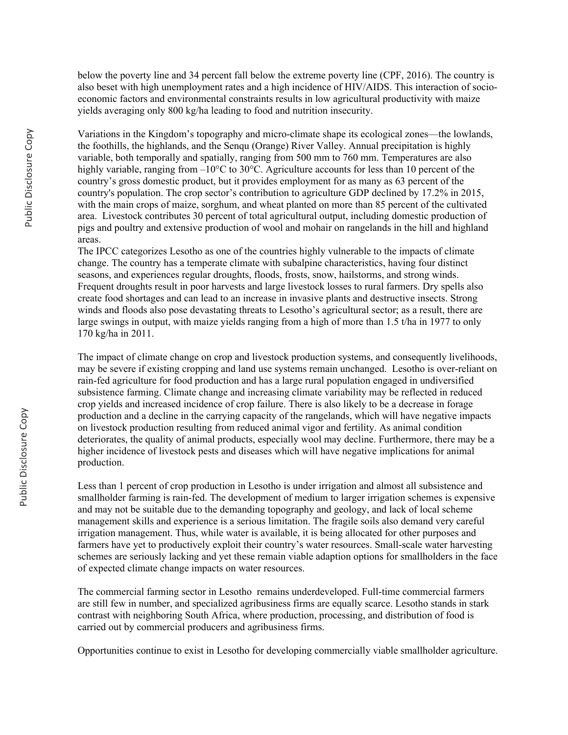below the poverty line and 34 percent fall below the extreme poverty line (CPF, 2016). The country is also beset with high unemployment rates and a high incidence of HIV/AIDS. This interaction of socioeconomic factors and environmental constraints results in low agricultural productivity with maize yields averaging only 800 kg/ha leading to food and nutrition insecurity.

Variations in the Kingdom's topography and micro-climate shape its ecological zones—the lowlands, the foothills, the highlands, and the Senqu (Orange) River Valley. Annual precipitation is highly variable, both temporally and spatially, ranging from 500 mm to 760 mm. Temperatures are also highly variable, ranging from –10°C to 30°C. Agriculture accounts for less than 10 percent of the country's gross domestic product, but it provides employment for as many as 63 percent of the country's population. The crop sector's contribution to agriculture GDP declined by 17.2% in 2015, with the main crops of maize, sorghum, and wheat planted on more than 85 percent of the cultivated area. Livestock contributes 30 percent of total agricultural output, including domestic production of pigs and poultry and extensive production of wool and mohair on rangelands in the hill and highland areas.

The IPCC categorizes Lesotho as one of the countries highly vulnerable to the impacts of climate change. The country has a temperate climate with subalpine characteristics, having four distinct seasons, and experiences regular droughts, floods, frosts, snow, hailstorms, and strong winds. Frequent droughts result in poor harvests and large livestock losses to rural farmers. Dry spells also create food shortages and can lead to an increase in invasive plants and destructive insects. Strong winds and floods also pose devastating threats to Lesotho's agricultural sector; as a result, there are large swings in output, with maize yields ranging from a high of more than 1.5 t/ha in 1977 to only 170 kg/ha in 2011.

The impact of climate change on crop and livestock production systems, and consequently livelihoods, may be severe if existing cropping and land use systems remain unchanged. Lesotho is over-reliant on rain-fed agriculture for food production and has a large rural population engaged in undiversified subsistence farming. Climate change and increasing climate variability may be reflected in reduced crop yields and increased incidence of crop failure. There is also likely to be a decrease in forage production and a decline in the carrying capacity of the rangelands, which will have negative impacts on livestock production resulting from reduced animal vigor and fertility. As animal condition deteriorates, the quality of animal products, especially wool may decline. Furthermore, there may be a higher incidence of livestock pests and diseases which will have negative implications for animal production.

Less than 1 percent of crop production in Lesotho is under irrigation and almost all subsistence and smallholder farming is rain-fed. The development of medium to larger irrigation schemes is expensive and may not be suitable due to the demanding topography and geology, and lack of local scheme management skills and experience is a serious limitation. The fragile soils also demand very careful irrigation management. Thus, while water is available, it is being allocated for other purposes and farmers have yet to productively exploit their country's water resources. Small-scale water harvesting schemes are seriously lacking and yet these remain viable adaption options for smallholders in the face of expected climate change impacts on water resources.

The commercial farming sector in Lesotho remains underdeveloped. Full-time commercial farmers are still few in number, and specialized agribusiness firms are equally scarce. Lesotho stands in stark contrast with neighboring South Africa, where production, processing, and distribution of food is carried out by commercial producers and agribusiness firms.

Opportunities continue to exist in Lesotho for developing commercially viable smallholder agriculture.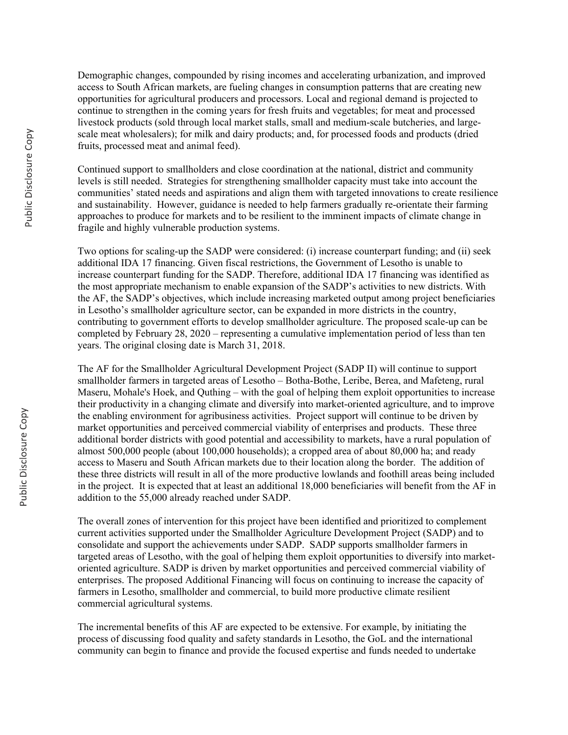Demographic changes, compounded by rising incomes and accelerating urbanization, and improved access to South African markets, are fueling changes in consumption patterns that are creating new opportunities for agricultural producers and processors. Local and regional demand is projected to continue to strengthen in the coming years for fresh fruits and vegetables; for meat and processed livestock products (sold through local market stalls, small and medium-scale butcheries, and largescale meat wholesalers); for milk and dairy products; and, for processed foods and products (dried fruits, processed meat and animal feed).

Continued support to smallholders and close coordination at the national, district and community levels is still needed. Strategies for strengthening smallholder capacity must take into account the communities' stated needs and aspirations and align them with targeted innovations to create resilience and sustainability. However, guidance is needed to help farmers gradually re-orientate their farming approaches to produce for markets and to be resilient to the imminent impacts of climate change in fragile and highly vulnerable production systems.

Two options for scaling-up the SADP were considered: (i) increase counterpart funding; and (ii) seek additional IDA 17 financing. Given fiscal restrictions, the Government of Lesotho is unable to increase counterpart funding for the SADP. Therefore, additional IDA 17 financing was identified as the most appropriate mechanism to enable expansion of the SADP's activities to new districts. With the AF, the SADP's objectives, which include increasing marketed output among project beneficiaries in Lesotho's smallholder agriculture sector, can be expanded in more districts in the country, contributing to government efforts to develop smallholder agriculture. The proposed scale-up can be completed by February 28, 2020 – representing a cumulative implementation period of less than ten years. The original closing date is March 31, 2018.

The AF for the Smallholder Agricultural Development Project (SADP II) will continue to support smallholder farmers in targeted areas of Lesotho – Botha-Bothe, Leribe, Berea, and Mafeteng, rural Maseru, Mohale's Hoek, and Quthing – with the goal of helping them exploit opportunities to increase their productivity in a changing climate and diversify into market-oriented agriculture, and to improve the enabling environment for agribusiness activities. Project support will continue to be driven by market opportunities and perceived commercial viability of enterprises and products. These three additional border districts with good potential and accessibility to markets, have a rural population of almost 500,000 people (about 100,000 households); a cropped area of about 80,000 ha; and ready access to Maseru and South African markets due to their location along the border. The addition of these three districts will result in all of the more productive lowlands and foothill areas being included in the project. It is expected that at least an additional 18,000 beneficiaries will benefit from the AF in addition to the 55,000 already reached under SADP.

The overall zones of intervention for this project have been identified and prioritized to complement current activities supported under the Smallholder Agriculture Development Project (SADP) and to consolidate and support the achievements under SADP. SADP supports smallholder farmers in targeted areas of Lesotho, with the goal of helping them exploit opportunities to diversify into marketoriented agriculture. SADP is driven by market opportunities and perceived commercial viability of enterprises. The proposed Additional Financing will focus on continuing to increase the capacity of farmers in Lesotho, smallholder and commercial, to build more productive climate resilient commercial agricultural systems.

The incremental benefits of this AF are expected to be extensive. For example, by initiating the process of discussing food quality and safety standards in Lesotho, the GoL and the international community can begin to finance and provide the focused expertise and funds needed to undertake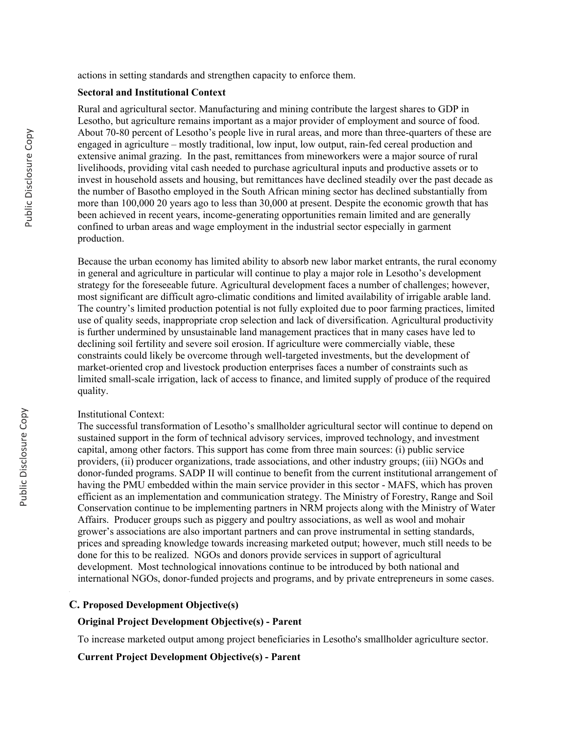actions in setting standards and strengthen capacity to enforce them.

#### **Sectoral and Institutional Context**

Rural and agricultural sector. Manufacturing and mining contribute the largest shares to GDP in Lesotho, but agriculture remains important as a major provider of employment and source of food. About 70-80 percent of Lesotho's people live in rural areas, and more than three-quarters of these are engaged in agriculture – mostly traditional, low input, low output, rain-fed cereal production and extensive animal grazing. In the past, remittances from mineworkers were a major source of rural livelihoods, providing vital cash needed to purchase agricultural inputs and productive assets or to invest in household assets and housing, but remittances have declined steadily over the past decade as the number of Basotho employed in the South African mining sector has declined substantially from more than 100,000 20 years ago to less than 30,000 at present. Despite the economic growth that has been achieved in recent years, income-generating opportunities remain limited and are generally confined to urban areas and wage employment in the industrial sector especially in garment production.

Because the urban economy has limited ability to absorb new labor market entrants, the rural economy in general and agriculture in particular will continue to play a major role in Lesotho's development strategy for the foreseeable future. Agricultural development faces a number of challenges; however, most significant are difficult agro-climatic conditions and limited availability of irrigable arable land. The country's limited production potential is not fully exploited due to poor farming practices, limited use of quality seeds, inappropriate crop selection and lack of diversification. Agricultural productivity is further undermined by unsustainable land management practices that in many cases have led to declining soil fertility and severe soil erosion. If agriculture were commercially viable, these constraints could likely be overcome through well-targeted investments, but the development of market-oriented crop and livestock production enterprises faces a number of constraints such as limited small-scale irrigation, lack of access to finance, and limited supply of produce of the required quality.

#### Institutional Context:

The successful transformation of Lesotho's smallholder agricultural sector will continue to depend on sustained support in the form of technical advisory services, improved technology, and investment capital, among other factors. This support has come from three main sources: (i) public service providers, (ii) producer organizations, trade associations, and other industry groups; (iii) NGOs and donor-funded programs. SADP II will continue to benefit from the current institutional arrangement of having the PMU embedded within the main service provider in this sector - MAFS, which has proven efficient as an implementation and communication strategy. The Ministry of Forestry, Range and Soil Conservation continue to be implementing partners in NRM projects along with the Ministry of Water Affairs. Producer groups such as piggery and poultry associations, as well as wool and mohair grower's associations are also important partners and can prove instrumental in setting standards, prices and spreading knowledge towards increasing marketed output; however, much still needs to be done for this to be realized. NGOs and donors provide services in support of agricultural development. Most technological innovations continue to be introduced by both national and international NGOs, donor-funded projects and programs, and by private entrepreneurs in some cases.

#### **C. Proposed Development Objective(s)**

#### **Original Project Development Objective(s) - Parent**

To increase marketed output among project beneficiaries in Lesotho's smallholder agriculture sector.

**Current Project Development Objective(s) - Parent**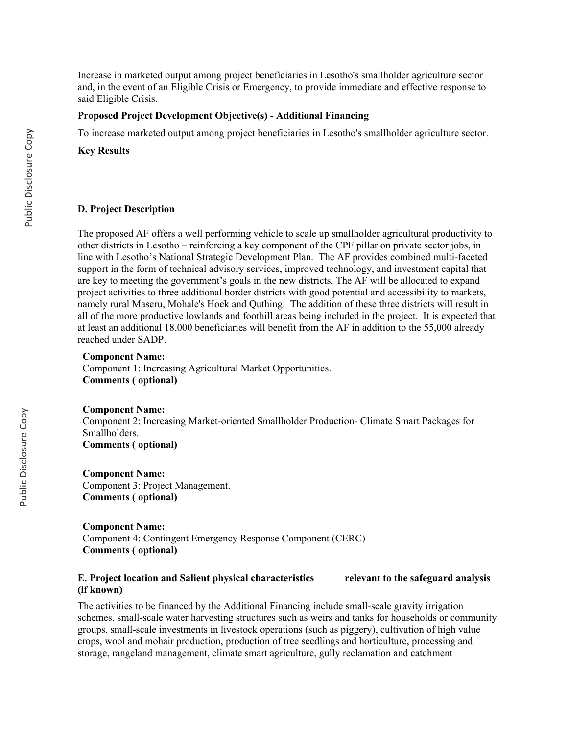Increase in marketed output among project beneficiaries in Lesotho's smallholder agriculture sector and, in the event of an Eligible Crisis or Emergency, to provide immediate and effective response to said Eligible Crisis.

#### **Proposed Project Development Objective(s) - Additional Financing**

To increase marketed output among project beneficiaries in Lesotho's smallholder agriculture sector.

**Key Results** 

#### **D. Project Description**

The proposed AF offers a well performing vehicle to scale up smallholder agricultural productivity to other districts in Lesotho – reinforcing a key component of the CPF pillar on private sector jobs, in line with Lesotho's National Strategic Development Plan. The AF provides combined multi-faceted support in the form of technical advisory services, improved technology, and investment capital that are key to meeting the government's goals in the new districts. The AF will be allocated to expand project activities to three additional border districts with good potential and accessibility to markets, namely rural Maseru, Mohale's Hoek and Quthing. The addition of these three districts will result in all of the more productive lowlands and foothill areas being included in the project. It is expected that at least an additional 18,000 beneficiaries will benefit from the AF in addition to the 55,000 already reached under SADP.

#### **Component Name:**

Component 1: Increasing Agricultural Market Opportunities. **Comments ( optional)**

**Component Name:** Component 2: Increasing Market-oriented Smallholder Production- Climate Smart Packages for Smallholders.

**Comments ( optional)**

**Component Name:** Component 3: Project Management. **Comments ( optional)**

**Component Name:** Component 4: Contingent Emergency Response Component (CERC) **Comments ( optional)**

#### **E. Project location and Salient physical characteristics relevant to the safeguard analysis (if known)**

The activities to be financed by the Additional Financing include small-scale gravity irrigation schemes, small-scale water harvesting structures such as weirs and tanks for households or community groups, small-scale investments in livestock operations (such as piggery), cultivation of high value crops, wool and mohair production, production of tree seedlings and horticulture, processing and storage, rangeland management, climate smart agriculture, gully reclamation and catchment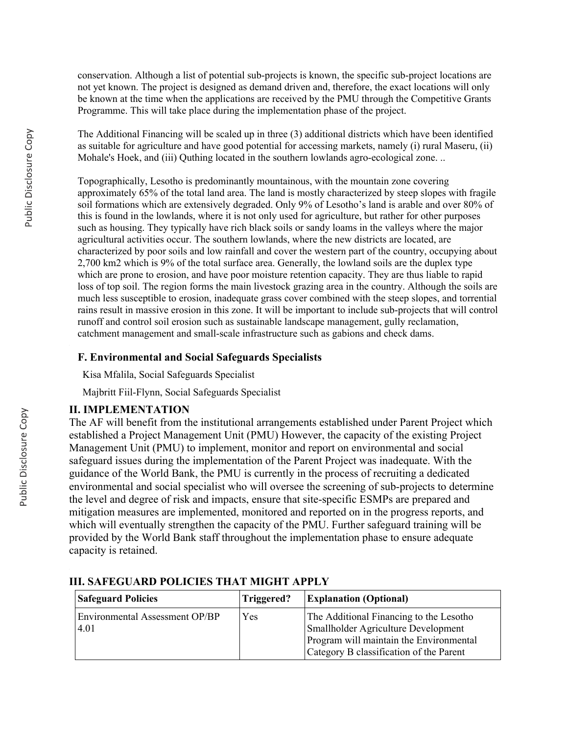conservation. Although a list of potential sub-projects is known, the specific sub-project locations are not yet known. The project is designed as demand driven and, therefore, the exact locations will only be known at the time when the applications are received by the PMU through the Competitive Grants Programme. This will take place during the implementation phase of the project.

The Additional Financing will be scaled up in three (3) additional districts which have been identified as suitable for agriculture and have good potential for accessing markets, namely (i) rural Maseru, (ii) Mohale's Hoek, and (iii) Quthing located in the southern lowlands agro-ecological zone. ..

Topographically, Lesotho is predominantly mountainous, with the mountain zone covering approximately 65% of the total land area. The land is mostly characterized by steep slopes with fragile soil formations which are extensively degraded. Only 9% of Lesotho's land is arable and over 80% of this is found in the lowlands, where it is not only used for agriculture, but rather for other purposes such as housing. They typically have rich black soils or sandy loams in the valleys where the major agricultural activities occur. The southern lowlands, where the new districts are located, are characterized by poor soils and low rainfall and cover the western part of the country, occupying about 2,700 km2 which is 9% of the total surface area. Generally, the lowland soils are the duplex type which are prone to erosion, and have poor moisture retention capacity. They are thus liable to rapid loss of top soil. The region forms the main livestock grazing area in the country. Although the soils are much less susceptible to erosion, inadequate grass cover combined with the steep slopes, and torrential rains result in massive erosion in this zone. It will be important to include sub-projects that will control runoff and control soil erosion such as sustainable landscape management, gully reclamation, catchment management and small-scale infrastructure such as gabions and check dams.

### **F. Environmental and Social Safeguards Specialists**

Kisa Mfalila, Social Safeguards Specialist

Majbritt Fiil-Flynn, Social Safeguards Specialist

### **II. IMPLEMENTATION**

The AF will benefit from the institutional arrangements established under Parent Project which established a Project Management Unit (PMU) However, the capacity of the existing Project Management Unit (PMU) to implement, monitor and report on environmental and social safeguard issues during the implementation of the Parent Project was inadequate. With the guidance of the World Bank, the PMU is currently in the process of recruiting a dedicated environmental and social specialist who will oversee the screening of sub-projects to determine the level and degree of risk and impacts, ensure that site-specific ESMPs are prepared and mitigation measures are implemented, monitored and reported on in the progress reports, and which will eventually strengthen the capacity of the PMU. Further safeguard training will be provided by the World Bank staff throughout the implementation phase to ensure adequate capacity is retained.

| <b>Safeguard Policies</b>                     | <b>Explanation (Optional)</b><br>Triggered? |                                                                                                                                                                             |
|-----------------------------------------------|---------------------------------------------|-----------------------------------------------------------------------------------------------------------------------------------------------------------------------------|
| <b>Environmental Assessment OP/BP</b><br>4.01 | Yes                                         | The Additional Financing to the Lesotho<br><b>Smallholder Agriculture Development</b><br>Program will maintain the Environmental<br>Category B classification of the Parent |

### **III. SAFEGUARD POLICIES THAT MIGHT APPLY**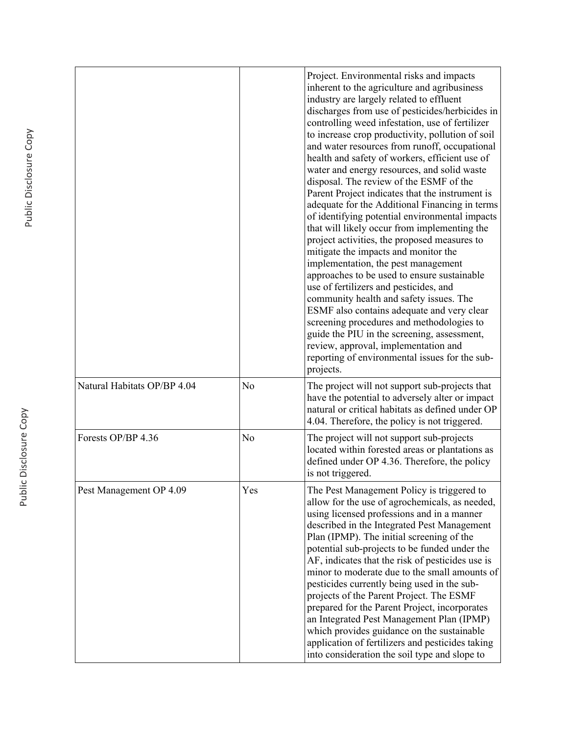|                             |                | Project. Environmental risks and impacts<br>inherent to the agriculture and agribusiness<br>industry are largely related to effluent<br>discharges from use of pesticides/herbicides in<br>controlling weed infestation, use of fertilizer<br>to increase crop productivity, pollution of soil<br>and water resources from runoff, occupational<br>health and safety of workers, efficient use of<br>water and energy resources, and solid waste<br>disposal. The review of the ESMF of the<br>Parent Project indicates that the instrument is<br>adequate for the Additional Financing in terms<br>of identifying potential environmental impacts<br>that will likely occur from implementing the<br>project activities, the proposed measures to<br>mitigate the impacts and monitor the<br>implementation, the pest management<br>approaches to be used to ensure sustainable<br>use of fertilizers and pesticides, and<br>community health and safety issues. The<br>ESMF also contains adequate and very clear<br>screening procedures and methodologies to<br>guide the PIU in the screening, assessment,<br>review, approval, implementation and<br>reporting of environmental issues for the sub-<br>projects. |
|-----------------------------|----------------|------------------------------------------------------------------------------------------------------------------------------------------------------------------------------------------------------------------------------------------------------------------------------------------------------------------------------------------------------------------------------------------------------------------------------------------------------------------------------------------------------------------------------------------------------------------------------------------------------------------------------------------------------------------------------------------------------------------------------------------------------------------------------------------------------------------------------------------------------------------------------------------------------------------------------------------------------------------------------------------------------------------------------------------------------------------------------------------------------------------------------------------------------------------------------------------------------------------------|
| Natural Habitats OP/BP 4.04 | N <sub>o</sub> | The project will not support sub-projects that<br>have the potential to adversely alter or impact<br>natural or critical habitats as defined under OP<br>4.04. Therefore, the policy is not triggered.                                                                                                                                                                                                                                                                                                                                                                                                                                                                                                                                                                                                                                                                                                                                                                                                                                                                                                                                                                                                                 |
| Forests OP/BP 4.36          | N <sub>o</sub> | The project will not support sub-projects<br>located within forested areas or plantations as<br>defined under OP 4.36. Therefore, the policy<br>is not triggered.                                                                                                                                                                                                                                                                                                                                                                                                                                                                                                                                                                                                                                                                                                                                                                                                                                                                                                                                                                                                                                                      |
| Pest Management OP 4.09     | Yes            | The Pest Management Policy is triggered to<br>allow for the use of agrochemicals, as needed,<br>using licensed professions and in a manner<br>described in the Integrated Pest Management<br>Plan (IPMP). The initial screening of the<br>potential sub-projects to be funded under the<br>AF, indicates that the risk of pesticides use is<br>minor to moderate due to the small amounts of<br>pesticides currently being used in the sub-<br>projects of the Parent Project. The ESMF<br>prepared for the Parent Project, incorporates<br>an Integrated Pest Management Plan (IPMP)<br>which provides guidance on the sustainable<br>application of fertilizers and pesticides taking<br>into consideration the soil type and slope to                                                                                                                                                                                                                                                                                                                                                                                                                                                                               |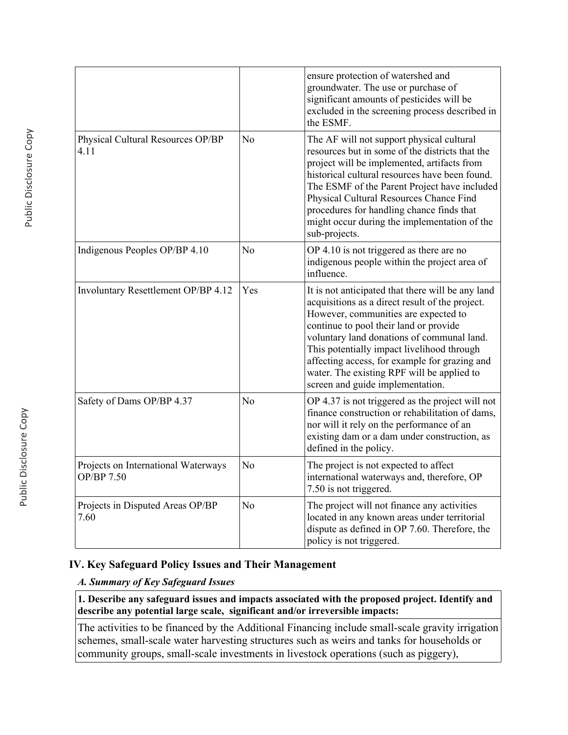|                                                   |                | ensure protection of watershed and<br>groundwater. The use or purchase of<br>significant amounts of pesticides will be<br>excluded in the screening process described in<br>the ESMF.                                                                                                                                                                                                                                 |
|---------------------------------------------------|----------------|-----------------------------------------------------------------------------------------------------------------------------------------------------------------------------------------------------------------------------------------------------------------------------------------------------------------------------------------------------------------------------------------------------------------------|
| Physical Cultural Resources OP/BP<br>4.11         | N <sub>o</sub> | The AF will not support physical cultural<br>resources but in some of the districts that the<br>project will be implemented, artifacts from<br>historical cultural resources have been found.<br>The ESMF of the Parent Project have included<br>Physical Cultural Resources Chance Find<br>procedures for handling chance finds that<br>might occur during the implementation of the<br>sub-projects.                |
| Indigenous Peoples OP/BP 4.10                     | No             | OP 4.10 is not triggered as there are no<br>indigenous people within the project area of<br>influence.                                                                                                                                                                                                                                                                                                                |
| Involuntary Resettlement OP/BP 4.12               | Yes            | It is not anticipated that there will be any land<br>acquisitions as a direct result of the project.<br>However, communities are expected to<br>continue to pool their land or provide<br>voluntary land donations of communal land.<br>This potentially impact livelihood through<br>affecting access, for example for grazing and<br>water. The existing RPF will be applied to<br>screen and guide implementation. |
| Safety of Dams OP/BP 4.37                         | No             | OP 4.37 is not triggered as the project will not<br>finance construction or rehabilitation of dams,<br>nor will it rely on the performance of an<br>existing dam or a dam under construction, as<br>defined in the policy.                                                                                                                                                                                            |
| Projects on International Waterways<br>OP/BP 7.50 | N <sub>o</sub> | The project is not expected to affect<br>international waterways and, therefore, OP<br>7.50 is not triggered.                                                                                                                                                                                                                                                                                                         |
| Projects in Disputed Areas OP/BP<br>7.60          | N <sub>o</sub> | The project will not finance any activities<br>located in any known areas under territorial<br>dispute as defined in OP 7.60. Therefore, the<br>policy is not triggered.                                                                                                                                                                                                                                              |

# **IV. Key Safeguard Policy Issues and Their Management**

### *A. Summary of Key Safeguard Issues*

**1. Describe any safeguard issues and impacts associated with the proposed project. Identify and describe any potential large scale, significant and/or irreversible impacts:**

The activities to be financed by the Additional Financing include small-scale gravity irrigation schemes, small-scale water harvesting structures such as weirs and tanks for households or community groups, small-scale investments in livestock operations (such as piggery),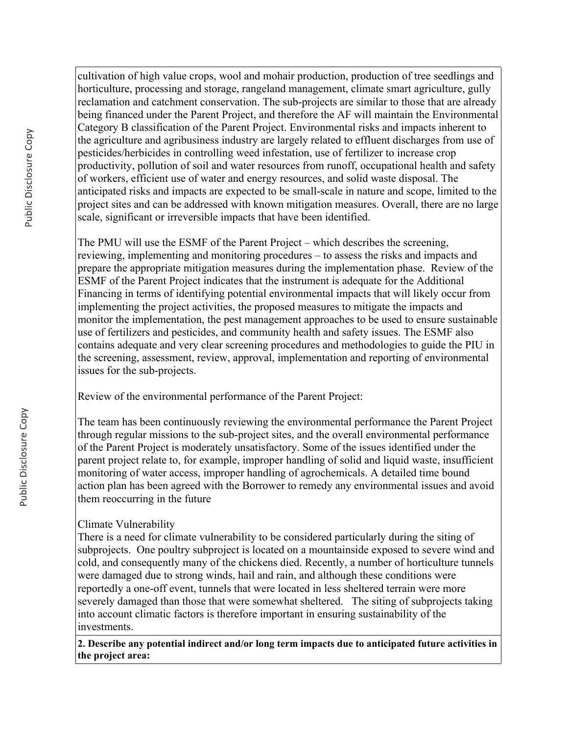cultivation of high value crops, wool and mohair production, production of tree seedlings and horticulture, processing and storage, rangeland management, climate smart agriculture, gully reclamation and catchment conservation. The sub-projects are similar to those that are already being financed under the Parent Project, and therefore the AF will maintain the Environmental Category B classification of the Parent Project. Environmental risks and impacts inherent to the agriculture and agribusiness industry are largely related to effluent discharges from use of pesticides/herbicides in controlling weed infestation, use of fertilizer to increase crop productivity, pollution of soil and water resources from runoff, occupational health and safety of workers, efficient use of water and energy resources, and solid waste disposal. The anticipated risks and impacts are expected to be small-scale in nature and scope, limited to the project sites and can be addressed with known mitigation measures. Overall, there are no large scale, significant or irreversible impacts that have been identified.

The PMU will use the ESMF of the Parent Project – which describes the screening, reviewing, implementing and monitoring procedures – to assess the risks and impacts and prepare the appropriate mitigation measures during the implementation phase. Review of the ESMF of the Parent Project indicates that the instrument is adequate for the Additional Financing in terms of identifying potential environmental impacts that will likely occur from implementing the project activities, the proposed measures to mitigate the impacts and monitor the implementation, the pest management approaches to be used to ensure sustainable use of fertilizers and pesticides, and community health and safety issues. The ESMF also contains adequate and very clear screening procedures and methodologies to guide the PIU in the screening, assessment, review, approval, implementation and reporting of environmental issues for the sub-projects.

Review of the environmental performance of the Parent Project:

The team has been continuously reviewing the environmental performance the Parent Project through regular missions to the sub-project sites, and the overall environmental performance of the Parent Project is moderately unsatisfactory. Some of the issues identified under the parent project relate to, for example, improper handling of solid and liquid waste, insufficient monitoring of water access, improper handling of agrochemicals. A detailed time bound action plan has been agreed with the Borrower to remedy any environmental issues and avoid them reoccurring in the future

# Climate Vulnerability

There is a need for climate vulnerability to be considered particularly during the siting of subprojects. One poultry subproject is located on a mountainside exposed to severe wind and cold, and consequently many of the chickens died. Recently, a number of horticulture tunnels were damaged due to strong winds, hail and rain, and although these conditions were reportedly a one-off event, tunnels that were located in less sheltered terrain were more severely damaged than those that were somewhat sheltered. The siting of subprojects taking into account climatic factors is therefore important in ensuring sustainability of the investments.

**2. Describe any potential indirect and/or long term impacts due to anticipated future activities in the project area:**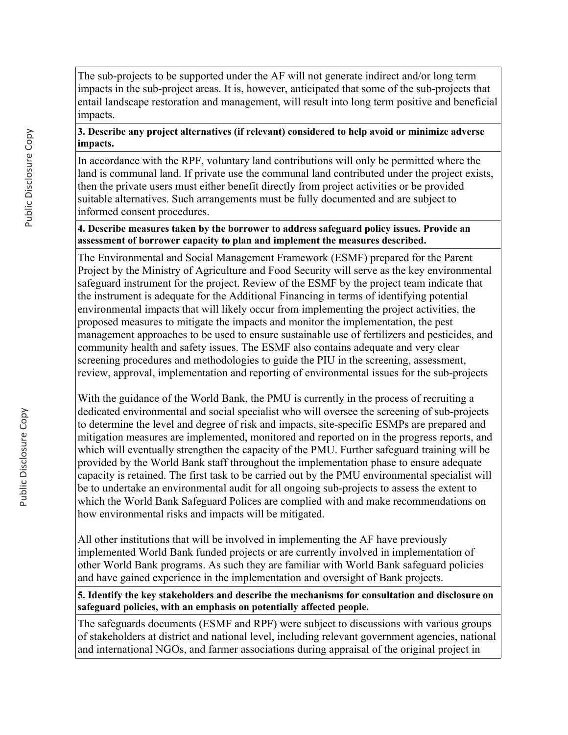The sub-projects to be supported under the AF will not generate indirect and/or long term impacts in the sub-project areas. It is, however, anticipated that some of the sub-projects that entail landscape restoration and management, will result into long term positive and beneficial impacts.

### **3. Describe any project alternatives (if relevant) considered to help avoid or minimize adverse impacts.**

In accordance with the RPF, voluntary land contributions will only be permitted where the land is communal land. If private use the communal land contributed under the project exists, then the private users must either benefit directly from project activities or be provided suitable alternatives. Such arrangements must be fully documented and are subject to informed consent procedures.

### **4. Describe measures taken by the borrower to address safeguard policy issues. Provide an assessment of borrower capacity to plan and implement the measures described.**

The Environmental and Social Management Framework (ESMF) prepared for the Parent Project by the Ministry of Agriculture and Food Security will serve as the key environmental safeguard instrument for the project. Review of the ESMF by the project team indicate that the instrument is adequate for the Additional Financing in terms of identifying potential environmental impacts that will likely occur from implementing the project activities, the proposed measures to mitigate the impacts and monitor the implementation, the pest management approaches to be used to ensure sustainable use of fertilizers and pesticides, and community health and safety issues. The ESMF also contains adequate and very clear screening procedures and methodologies to guide the PIU in the screening, assessment, review, approval, implementation and reporting of environmental issues for the sub-projects

With the guidance of the World Bank, the PMU is currently in the process of recruiting a dedicated environmental and social specialist who will oversee the screening of sub-projects to determine the level and degree of risk and impacts, site-specific ESMPs are prepared and mitigation measures are implemented, monitored and reported on in the progress reports, and which will eventually strengthen the capacity of the PMU. Further safeguard training will be provided by the World Bank staff throughout the implementation phase to ensure adequate capacity is retained. The first task to be carried out by the PMU environmental specialist will be to undertake an environmental audit for all ongoing sub-projects to assess the extent to which the World Bank Safeguard Polices are complied with and make recommendations on how environmental risks and impacts will be mitigated.

All other institutions that will be involved in implementing the AF have previously implemented World Bank funded projects or are currently involved in implementation of other World Bank programs. As such they are familiar with World Bank safeguard policies and have gained experience in the implementation and oversight of Bank projects.

**5. Identify the key stakeholders and describe the mechanisms for consultation and disclosure on safeguard policies, with an emphasis on potentially affected people.**

The safeguards documents (ESMF and RPF) were subject to discussions with various groups of stakeholders at district and national level, including relevant government agencies, national and international NGOs, and farmer associations during appraisal of the original project in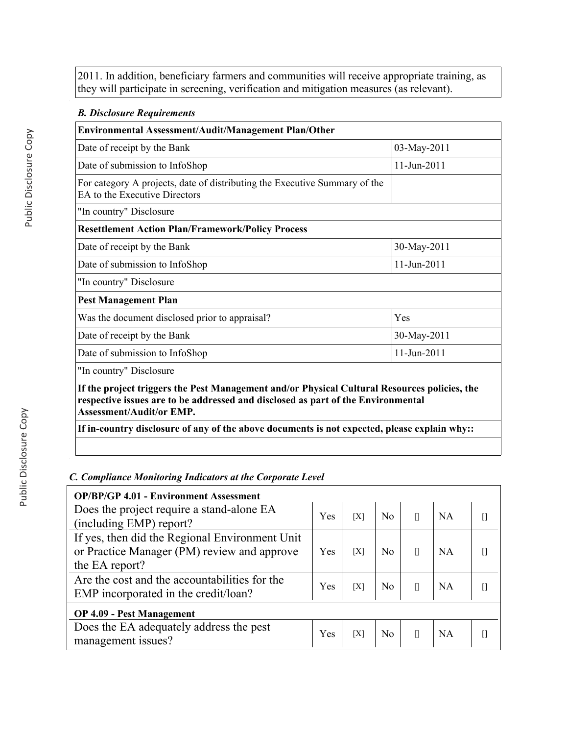2011. In addition, beneficiary farmers and communities will receive appropriate training, as they will participate in screening, verification and mitigation measures (as relevant).

## *B. Disclosure Requirements*

| <b>Environmental Assessment/Audit/Management Plan/Other</b>                                                                                                                                                         |                          |  |  |
|---------------------------------------------------------------------------------------------------------------------------------------------------------------------------------------------------------------------|--------------------------|--|--|
| Date of receipt by the Bank                                                                                                                                                                                         | 03-May-2011              |  |  |
| Date of submission to InfoShop                                                                                                                                                                                      | $11 - \text{Jun} - 2011$ |  |  |
| For category A projects, date of distributing the Executive Summary of the<br>EA to the Executive Directors                                                                                                         |                          |  |  |
| "In country" Disclosure                                                                                                                                                                                             |                          |  |  |
| <b>Resettlement Action Plan/Framework/Policy Process</b>                                                                                                                                                            |                          |  |  |
| Date of receipt by the Bank                                                                                                                                                                                         | 30-May-2011              |  |  |
| Date of submission to InfoShop                                                                                                                                                                                      | 11-Jun-2011              |  |  |
| "In country" Disclosure                                                                                                                                                                                             |                          |  |  |
| <b>Pest Management Plan</b>                                                                                                                                                                                         |                          |  |  |
| Was the document disclosed prior to appraisal?                                                                                                                                                                      | Yes                      |  |  |
| Date of receipt by the Bank                                                                                                                                                                                         | 30-May-2011              |  |  |
| Date of submission to InfoShop                                                                                                                                                                                      | 11-Jun-2011              |  |  |
| "In country" Disclosure                                                                                                                                                                                             |                          |  |  |
| If the project triggers the Pest Management and/or Physical Cultural Resources policies, the<br>respective issues are to be addressed and disclosed as part of the Environmental<br><b>Assessment/Audit/or EMP.</b> |                          |  |  |
| If in-country disclosure of any of the above documents is not expected, please explain why::                                                                                                                        |                          |  |  |

### *C. Compliance Monitoring Indicators at the Corporate Level*

| <b>OP/BP/GP 4.01 - Environment Assessment</b>                                                                   |     |     |                |   |           |  |
|-----------------------------------------------------------------------------------------------------------------|-----|-----|----------------|---|-----------|--|
| Does the project require a stand-alone EA<br>(including EMP) report?                                            |     | [X] | N <sub>0</sub> | П | <b>NA</b> |  |
| If yes, then did the Regional Environment Unit<br>or Practice Manager (PM) review and approve<br>the EA report? | Yes | ĪХ  | N <sub>0</sub> |   | <b>NA</b> |  |
| Are the cost and the accountabilities for the<br>EMP incorporated in the credit/loan?                           |     | [X] | N <sub>0</sub> |   | NA        |  |
| <b>OP 4.09 - Pest Management</b>                                                                                |     |     |                |   |           |  |
| Does the EA adequately address the pest<br>management issues?                                                   | Yes | [X] | N <sub>0</sub> |   | <b>NA</b> |  |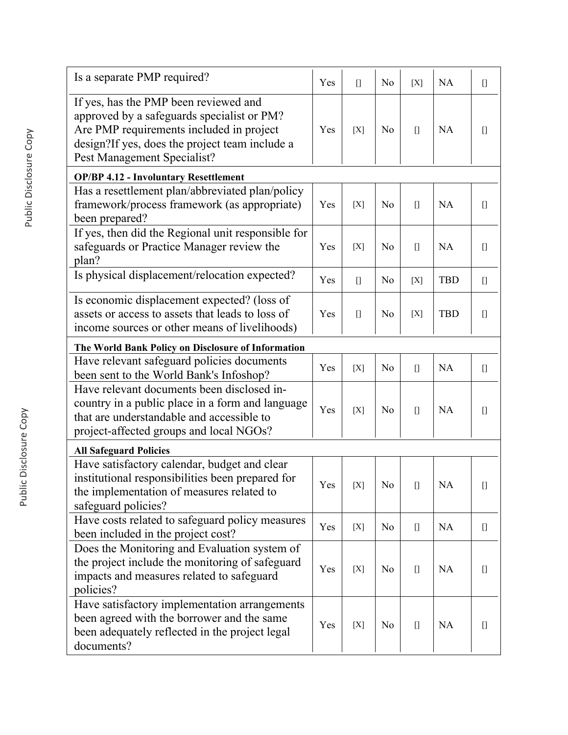| Is a separate PMP required?                                                                                                                                                                                      | Yes | $[$   | N <sub>o</sub> | [X]                                                                                                                                                                                      | NA         | $[] \centering \includegraphics[width=0.47\textwidth]{images/TransY_1.png} \caption{The first two different values of $100$ K, $100$ K, $100$ K, $100$ K, $100$ K, $100$ K, $100$ K, $100$ K, $100$ K, $100$ K, $100$ K, $100$ K, $100$ K, $100$ K, $100$ K, $100$ K, $100$ K, $100$ K, $100$ K, $100$ K, $100$ K, $100$ K, $100$ K, $100$ K, $100$ K, $100$ K, $10$                                                                                                                                                          |
|------------------------------------------------------------------------------------------------------------------------------------------------------------------------------------------------------------------|-----|-------|----------------|------------------------------------------------------------------------------------------------------------------------------------------------------------------------------------------|------------|-------------------------------------------------------------------------------------------------------------------------------------------------------------------------------------------------------------------------------------------------------------------------------------------------------------------------------------------------------------------------------------------------------------------------------------------------------------------------------------------------------------------------------|
| If yes, has the PMP been reviewed and<br>approved by a safeguards specialist or PM?<br>Are PMP requirements included in project<br>design?If yes, does the project team include a<br>Pest Management Specialist? | Yes | [X]   | N <sub>0</sub> | $[$                                                                                                                                                                                      | <b>NA</b>  | O                                                                                                                                                                                                                                                                                                                                                                                                                                                                                                                             |
| <b>OP/BP 4.12 - Involuntary Resettlement</b>                                                                                                                                                                     |     |       |                |                                                                                                                                                                                          |            |                                                                                                                                                                                                                                                                                                                                                                                                                                                                                                                               |
| Has a resettlement plan/abbreviated plan/policy<br>framework/process framework (as appropriate)<br>been prepared?                                                                                                | Yes | [X]   | N <sub>o</sub> | $[$                                                                                                                                                                                      | <b>NA</b>  |                                                                                                                                                                                                                                                                                                                                                                                                                                                                                                                               |
| If yes, then did the Regional unit responsible for<br>safeguards or Practice Manager review the<br>plan?                                                                                                         | Yes | [X]   | N <sub>o</sub> | $[$                                                                                                                                                                                      | NA         | O                                                                                                                                                                                                                                                                                                                                                                                                                                                                                                                             |
| Is physical displacement/relocation expected?                                                                                                                                                                    | Yes | $[$   | N <sub>o</sub> | [X]                                                                                                                                                                                      | <b>TBD</b> | $[] \centering \includegraphics[width=0.47\textwidth]{images/TransY_1.png} \caption{The first two different values of $100$ K, $100$ K, $100$ K, $100$ K, $100$ K, $100$ K, $100$ K, $100$ K, $100$ K, $100$ K, $100$ K, $100$ K, $100$ K, $100$ K, $100$ K, $100$ K, $100$ K, $100$ K, $100$ K, $100$ K, $100$ K, $100$ K, $100$ K, $100$ K, $100$ K, $100$ K, $10$                                                                                                                                                          |
| Is economic displacement expected? (loss of<br>assets or access to assets that leads to loss of<br>income sources or other means of livelihoods)                                                                 | Yes | $[$   | N <sub>0</sub> | [X]                                                                                                                                                                                      | <b>TBD</b> | $[]$                                                                                                                                                                                                                                                                                                                                                                                                                                                                                                                          |
| The World Bank Policy on Disclosure of Information                                                                                                                                                               |     |       |                |                                                                                                                                                                                          |            |                                                                                                                                                                                                                                                                                                                                                                                                                                                                                                                               |
| Have relevant safeguard policies documents<br>been sent to the World Bank's Infoshop?                                                                                                                            | Yes | [X]   | N <sub>o</sub> | $[$                                                                                                                                                                                      | <b>NA</b>  | $[] \centering \includegraphics[width=0.47\textwidth]{images/TransY_1.png} \caption{The first two different values of $100$ K, $100$ K, $100$ K, $100$ K, $100$ K, $100$ K, $100$ K, $100$ K, $100$ K, $100$ K, $100$ K, $100$ K, $100$ K, $100$ K, $100$ K, $100$ K, $100$ K, $100$ K, $100$ K, $100$ K, $100$ K, $100$ K, $100$ K, $100$ K, $100$ K, $100$ K, $10$                                                                                                                                                          |
| Have relevant documents been disclosed in-<br>country in a public place in a form and language<br>that are understandable and accessible to<br>project-affected groups and local NGOs?                           | Yes | [X]   | N <sub>o</sub> | $[$                                                                                                                                                                                      | NA         | O                                                                                                                                                                                                                                                                                                                                                                                                                                                                                                                             |
| <b>All Safeguard Policies</b>                                                                                                                                                                                    |     |       |                |                                                                                                                                                                                          |            |                                                                                                                                                                                                                                                                                                                                                                                                                                                                                                                               |
| Have satisfactory calendar, budget and clear<br>institutional responsibilities been prepared for<br>the implementation of measures related to<br>safeguard policies?                                             | Yes | [X]   | N <sub>0</sub> | $\begin{bmatrix} 1 \end{bmatrix}$                                                                                                                                                        | <b>NA</b>  | $[] \centering \includegraphics[width=0.47\textwidth]{images/TrDiM1.png} \caption{The first two different values of $D^2$-error of the estimators in the right, and the second two different values of $D^2$-error of the right, respectively.} \label{TrDiM2}$                                                                                                                                                                                                                                                               |
| Have costs related to safeguard policy measures<br>been included in the project cost?                                                                                                                            | Yes | [X]   | N <sub>0</sub> | $[] \centering \includegraphics[width=0.47\textwidth]{images/TrDiM-Architecture.png} \caption{The 3D (top) and 4D (bottom) are shown in the left and right.} \label{TrDiM-Architecture}$ | <b>NA</b>  | $[] \centering \includegraphics[width=0.47\textwidth]{images/TrDiM-Architecture.png} \caption{The 3D (top) and 4D (bottom) are shown in the left and right.} \label{TrDiM-Architecture}$                                                                                                                                                                                                                                                                                                                                      |
| Does the Monitoring and Evaluation system of<br>the project include the monitoring of safeguard<br>impacts and measures related to safeguard<br>policies?                                                        | Yes | $[X]$ | N <sub>0</sub> | $[$                                                                                                                                                                                      | <b>NA</b>  | $[] \centering \includegraphics[width=0.47\textwidth]{Figures/PD1.png} \caption{The 3D (black) model for the 3D (black) model. The 3D (black) model is shown in Fig.~\ref{fig:1}, (a) and (b) and (c) are shown in Fig.~\ref{fig:1}, (b) and (c) are shown in Fig.~\ref{fig:1}, (c) and (d) are shown in Fig.~\ref{fig:1}, (d) and (e) are shown in Fig.~\ref{fig:1}, (e) and (f) are shown in Fig.~\ref{fig:1}, (f) and (g) are shown in Fig.~\ref{fig:1}, (g) and (h) are shown in Fig.~\ref{fig:1}, (h) and (i) are shown$ |
| Have satisfactory implementation arrangements<br>been agreed with the borrower and the same<br>been adequately reflected in the project legal<br>documents?                                                      | Yes | $[X]$ | N <sub>0</sub> | $[$                                                                                                                                                                                      | <b>NA</b>  | $[] \centering \includegraphics[width=0.47\textwidth]{Figures/PD1.png} \caption{The 3D (black) model for the 3D (black) model. The 3D (black) model is shown in Fig.~\ref{fig:1}, (a) and (b) and (c) are shown in Fig.~\ref{fig:1}, (b) and (c) are shown in Fig.~\ref{fig:1}, (c) and (d) are shown in Fig.~\ref{fig:1}, (d) and (e) are shown in Fig.~\ref{fig:1}, (e) and (f) are shown in Fig.~\ref{fig:1}, (f) and (g) are shown in Fig.~\ref{fig:1}, (g) and (h) are shown in Fig.~\ref{fig:1}, (h) and (i) are shown$ |